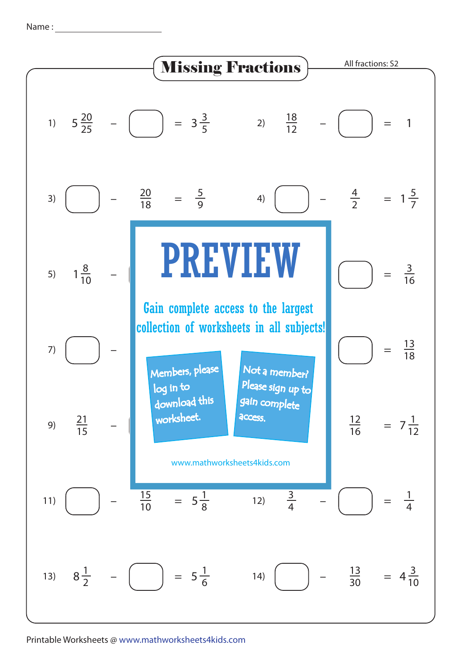